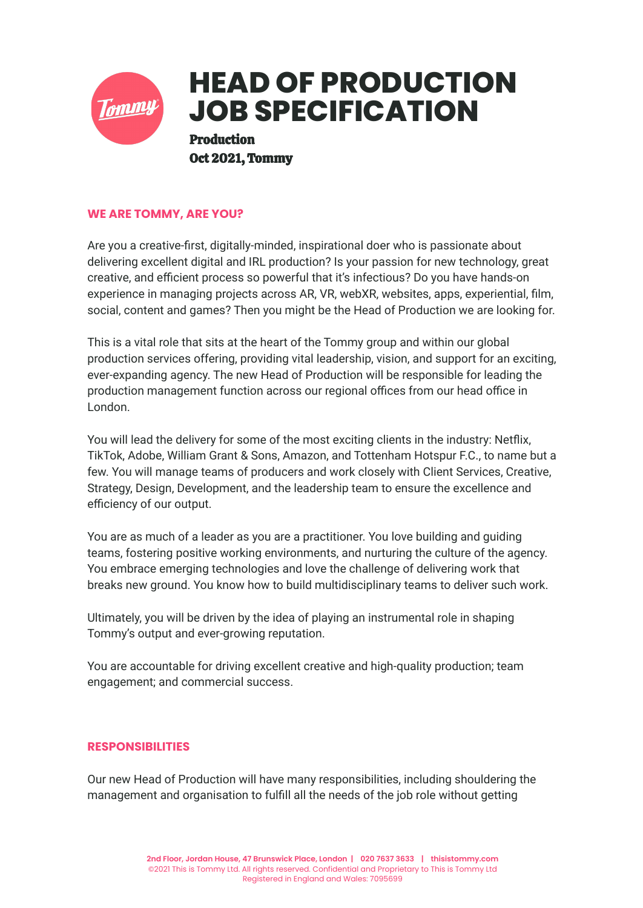

## **WE ARE TOMMY, ARE YOU?**

Are you a creative-first, digitally-minded, inspirational doer who is passionate about delivering excellent digital and IRL production? Is your passion for new technology, great creative, and efficient process so powerful that it's infectious? Do you have hands-on experience in managing projects across AR, VR, webXR, websites, apps, experiential, film, social, content and games? Then you might be the Head of Production we are looking for.

This is a vital role that sits at the heart of the Tommy group and within our global production services offering, providing vital leadership, vision, and support for an exciting, ever-expanding agency. The new Head of Production will be responsible for leading the production management function across our regional offices from our head office in London.

You will lead the delivery for some of the most exciting clients in the industry: Netflix, TikTok, Adobe, William Grant & Sons, Amazon, and Tottenham Hotspur F.C., to name but a few. You will manage teams of producers and work closely with Client Services, Creative, Strategy, Design, Development, and the leadership team to ensure the excellence and efficiency of our output.

You are as much of a leader as you are a practitioner. You love building and guiding teams, fostering positive working environments, and nurturing the culture of the agency. You embrace emerging technologies and love the challenge of delivering work that breaks new ground. You know how to build multidisciplinary teams to deliver such work.

Ultimately, you will be driven by the idea of playing an instrumental role in shaping Tommy's output and ever-growing reputation.

You are accountable for driving excellent creative and high-quality production; team engagement; and commercial success.

## **RESPONSIBILITIES**

Our new Head of Production will have many responsibilities, including shouldering the management and organisation to fulfill all the needs of the job role without getting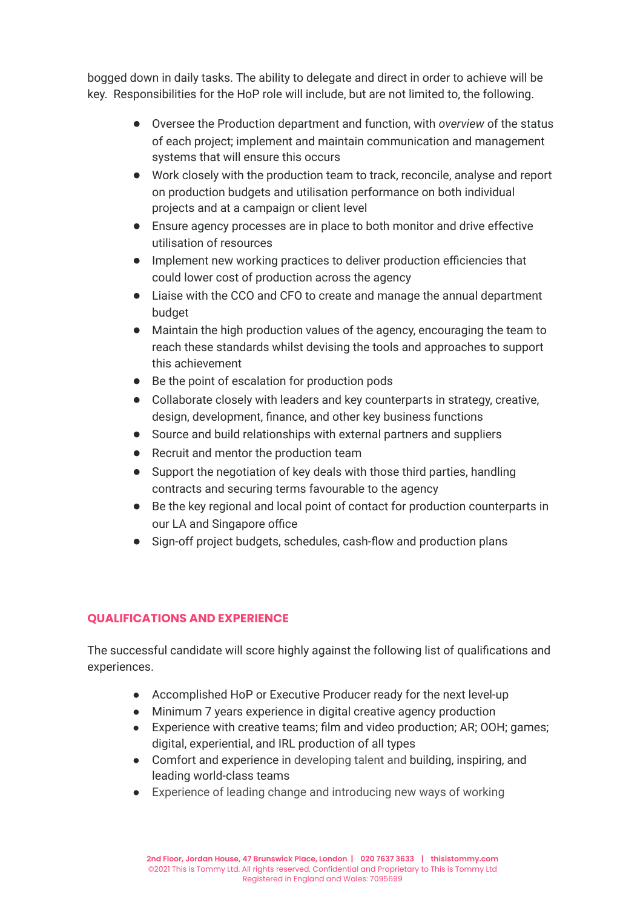bogged down in daily tasks. The ability to delegate and direct in order to achieve will be key. Responsibilities for the HoP role will include, but are not limited to, the following.

- Oversee the Production department and function, with *overview* of the status of each project; implement and maintain communication and management systems that will ensure this occurs
- Work closely with the production team to track, reconcile, analyse and report on production budgets and utilisation performance on both individual projects and at a campaign or client level
- Ensure agency processes are in place to both monitor and drive effective utilisation of resources
- Implement new working practices to deliver production efficiencies that could lower cost of production across the agency
- Liaise with the CCO and CFO to create and manage the annual department budget
- Maintain the high production values of the agency, encouraging the team to reach these standards whilst devising the tools and approaches to support this achievement
- Be the point of escalation for production pods
- Collaborate closely with leaders and key counterparts in strategy, creative, design, development, finance, and other key business functions
- Source and build relationships with external partners and suppliers
- Recruit and mentor the production team
- Support the negotiation of key deals with those third parties, handling contracts and securing terms favourable to the agency
- Be the key regional and local point of contact for production counterparts in our LA and Singapore office
- Sign-off project budgets, schedules, cash-flow and production plans

## **QUALIFICATIONS AND EXPERIENCE**

The successful candidate will score highly against the following list of qualifications and experiences.

- Accomplished HoP or Executive Producer ready for the next level-up
- Minimum 7 years experience in digital creative agency production
- Experience with creative teams; film and video production; AR; OOH; games; digital, experiential, and IRL production of all types
- Comfort and experience in developing talent and building, inspiring, and leading world-class teams
- Experience of leading change and introducing new ways of working